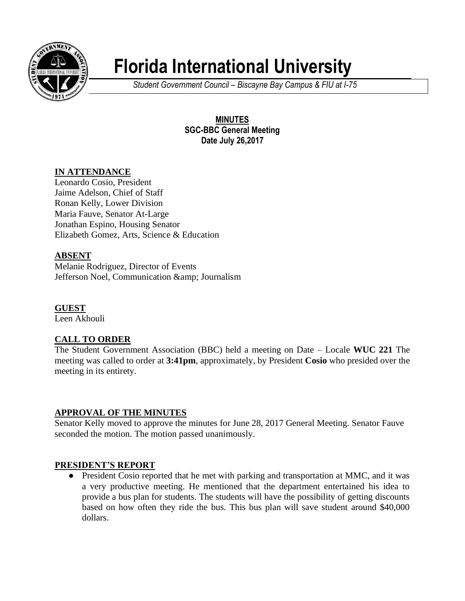

# **Florida International University**

*Student Government Council – Biscayne Bay Campus & FIU at I-75*

**MINUTES SGC-BBC General Meeting Date July 26,2017**

# **IN ATTENDANCE**

Leonardo Cosio, President Jaime Adelson, Chief of Staff Ronan Kelly, Lower Division Maria Fauve, Senator At-Large Jonathan Espino, Housing Senator Elizabeth Gomez, Arts, Science & Education

# **ABSENT**

Melanie Rodriguez, Director of Events Jefferson Noel, Communication & amp; Journalism

**GUEST** Leen Akhouli

# **CALL TO ORDER**

The Student Government Association (BBC) held a meeting on Date – Locale **WUC 221** The meeting was called to order at **3:41pm**, approximately, by President **Cosio** who presided over the meeting in its entirety.

# **APPROVAL OF THE MINUTES**

Senator Kelly moved to approve the minutes for June 28, 2017 General Meeting. Senator Fauve seconded the motion. The motion passed unanimously.

### **PRESIDENT'S REPORT**

● President Cosio reported that he met with parking and transportation at MMC, and it was a very productive meeting. He mentioned that the department entertained his idea to provide a bus plan for students. The students will have the possibility of getting discounts based on how often they ride the bus. This bus plan will save student around \$40,000 dollars.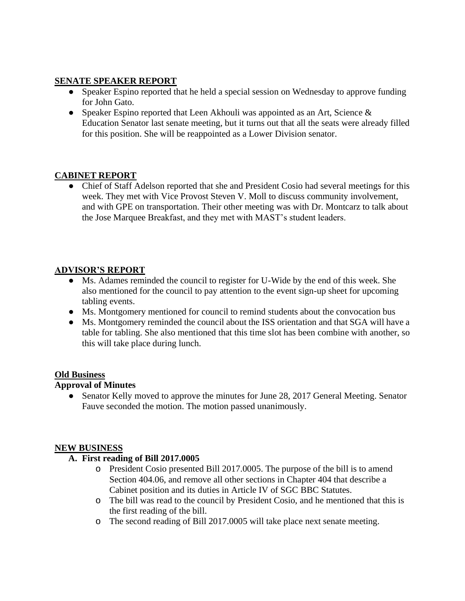## **SENATE SPEAKER REPORT**

- Speaker Espino reported that he held a special session on Wednesday to approve funding for John Gato.
- Speaker Espino reported that Leen Akhouli was appointed as an Art, Science & Education Senator last senate meeting, but it turns out that all the seats were already filled for this position. She will be reappointed as a Lower Division senator.

# **CABINET REPORT**

● Chief of Staff Adelson reported that she and President Cosio had several meetings for this week. They met with Vice Provost Steven V. Moll to discuss community involvement, and with GPE on transportation. Their other meeting was with Dr. Montcarz to talk about the Jose Marquee Breakfast, and they met with MAST's student leaders.

# **ADVISOR'S REPORT**

- Ms. Adames reminded the council to register for U-Wide by the end of this week. She also mentioned for the council to pay attention to the event sign-up sheet for upcoming tabling events.
- Ms. Montgomery mentioned for council to remind students about the convocation bus
- Ms. Montgomery reminded the council about the ISS orientation and that SGA will have a table for tabling. She also mentioned that this time slot has been combine with another, so this will take place during lunch.

### **Old Business**

### **Approval of Minutes**

• Senator Kelly moved to approve the minutes for June 28, 2017 General Meeting. Senator Fauve seconded the motion. The motion passed unanimously.

#### **NEW BUSINESS**

### **A. First reading of Bill 2017.0005**

- o President Cosio presented Bill 2017.0005. The purpose of the bill is to amend Section 404.06, and remove all other sections in Chapter 404 that describe a Cabinet position and its duties in Article IV of SGC BBC Statutes.
- o The bill was read to the council by President Cosio, and he mentioned that this is the first reading of the bill.
- o The second reading of Bill 2017.0005 will take place next senate meeting.